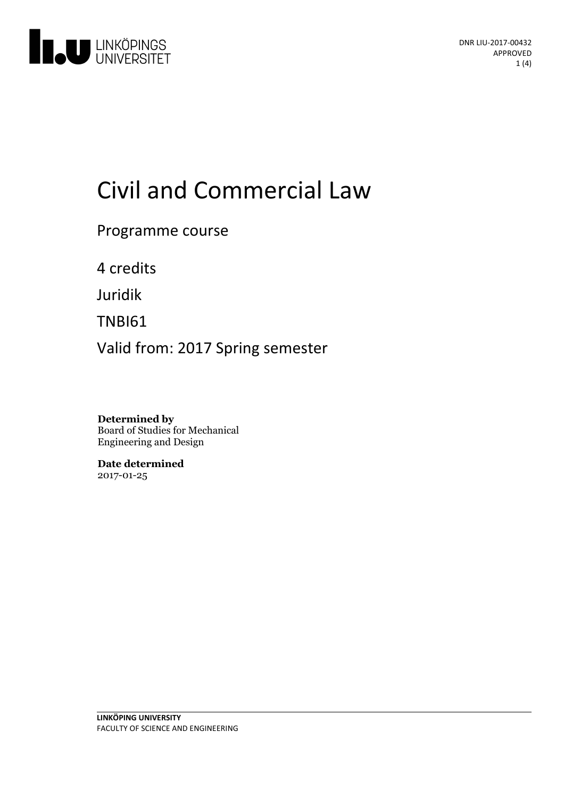

# Civiland Commercial Law

Programme course

4 credits

Juridik

TNBI61

Valid from: 2017 Spring semester

**Determined by** Board of Studies for Mechanical Engineering and Design

**Date determined** 2017-01-25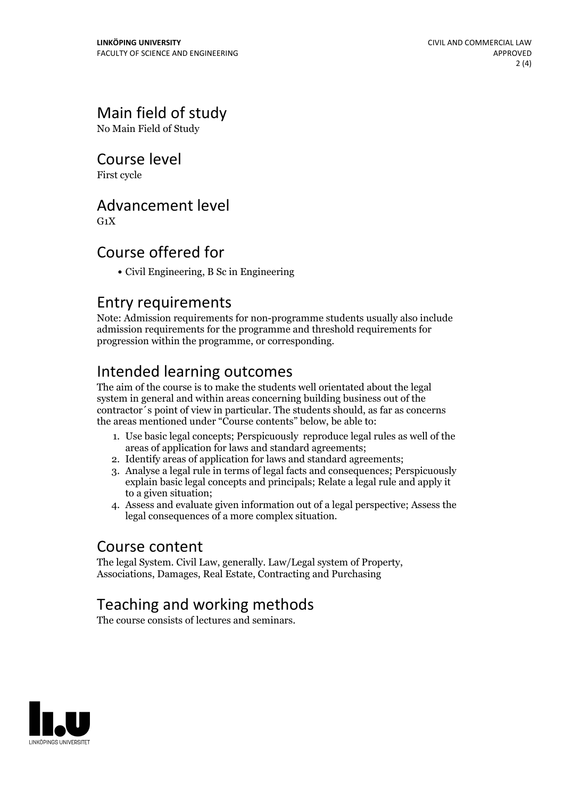# Main field of study

No Main Field of Study

#### Course level

First cycle

#### Advancement level

 $G_1X$ 

#### Course offered for

Civil Engineering, B Sc in Engineering

#### Entry requirements

Note: Admission requirements for non-programme students usually also include admission requirements for the programme and threshold requirements for progression within the programme, or corresponding.

# Intended learning outcomes

The aim of the course is to make the students well orientated about the legal system in general and within areas concerning building business out of the contractor´s point of view inparticular. The students should, as far as concerns the areas mentioned under "Course contents" below, be able to:

- 1. Use basic legal concepts; Perspicuously reproduce legal rules as well of the areas of application for laws and standard agreements;
- 2. Identify areas of application for laws and standard agreements;
- 3. Analyse a legal rule in terms of legal facts and consequences; Perspicuously explain basic legal concepts and principals; Relate a legal rule and apply it to a given situation;
- 4. Assess and evaluate given information out of a legal perspective; Assess the legal consequences of a more complex situation.

#### Course content

The legal System. Civil Law, generally. Law/Legal system of Property, Associations, Damages, Real Estate, Contracting and Purchasing

# Teaching and working methods

The course consists of lectures and seminars.

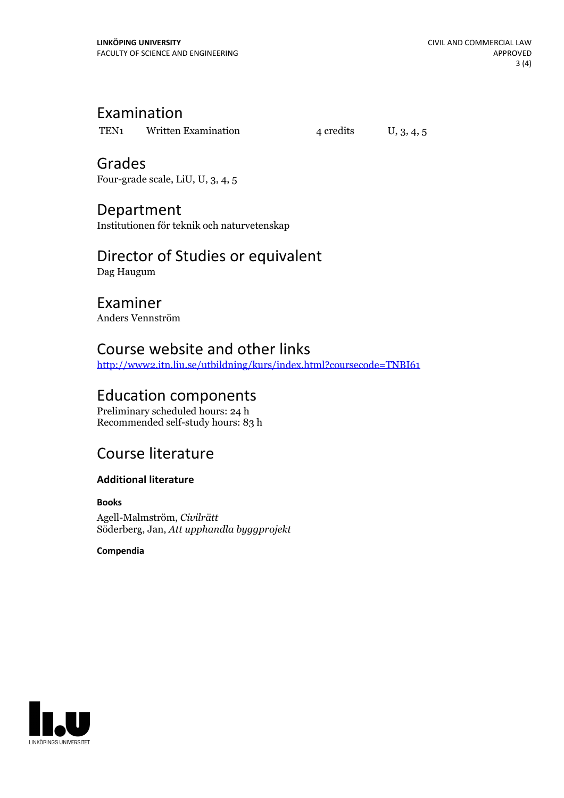#### Examination

TEN1 Written Examination  $4$  credits  $U$ , 3, 4, 5

Grades Four-grade scale, LiU, U, 3, 4, 5

#### Department

Institutionen för teknik och naturvetenskap

## Director of Studies or equivalent

Dag Haugum

#### Examiner

Anders Vennström

#### Course website and other links

<http://www2.itn.liu.se/utbildning/kurs/index.html?coursecode=TNBI61>

## Education components

Preliminary scheduled hours: 24 h Recommended self-study hours: 83 h

# Course literature

#### **Additional literature**

**Books** Agell-Malmström, *Civilrätt* Söderberg, Jan, *Att upphandla byggprojekt*

**Compendia**